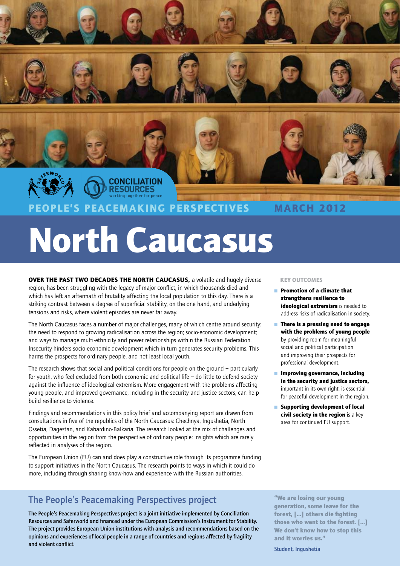

# North Caucasus

OVER THE PAST TWO DECADES THE NORTH CAUCASUS, a volatile and hugely diverse region, has been struggling with the legacy of major conflict, in which thousands died and which has left an aftermath of brutality affecting the local population to this day. There is a striking contrast between a degree of superficial stability, on the one hand, and underlying tensions and risks, where violent episodes are never far away.

The North Caucasus faces a number of major challenges, many of which centre around security: the need to respond to growing radicalisation across the region; socio-economic development; and ways to manage multi-ethnicity and power relationships within the Russian Federation. Insecurity hinders socio-economic development which in turn generates security problems. This harms the prospects for ordinary people, and not least local youth.

The research shows that social and political conditions for people on the ground – particularly for youth, who feel excluded from both economic and political life  $-$  do little to defend society against the influence of ideological extremism. More engagement with the problems affecting young people, and improved governance, including in the security and justice sectors, can help build resilience to violence.

Findings and recommendations in this policy brief and accompanying report are drawn from consultations in five of the republics of the North Caucasus: Chechnya, Ingushetia, North Ossetia, Dagestan, and Kabardino-Balkaria. The research looked at the mix of challenges and opportunities in the region from the perspective of ordinary people; insights which are rarely reflected in analyses of the region.

The European Union (EU) can and does play a constructive role through its programme funding to support initiatives in the North Caucasus. The research points to ways in which it could do more, including through sharing know-how and experience with the Russian authorities.

## The People's Peacemaking Perspectives project

The People's Peacemaking Perspectives project is a joint initiative implemented by Conciliation Resources and Saferworld and financed under the European Commission's Instrument for Stability. The project provides European Union institutions with analysis and recommendations based on the opinions and experiences of local people in a range of countries and regions affected by fragility and violent conflict.

#### Key outcomes

- Promotion of a climate that strengthens resilience to ideological extremism is needed to address risks of radicalisation in society.
- There is a pressing need to engage with the problems of young people by providing room for meaningful social and political participation and improving their prospects for professional development.
- Improving governance, including in the security and justice sectors, important in its own right, is essential for peaceful development in the region.
- Supporting development of local civil society in the region is a key area for continued EU support.

"We are losing our young generation, some leave for the forest, […] others die fighting those who went to the forest. […] We don't know how to stop this and it worries us."

Student, Ingushetia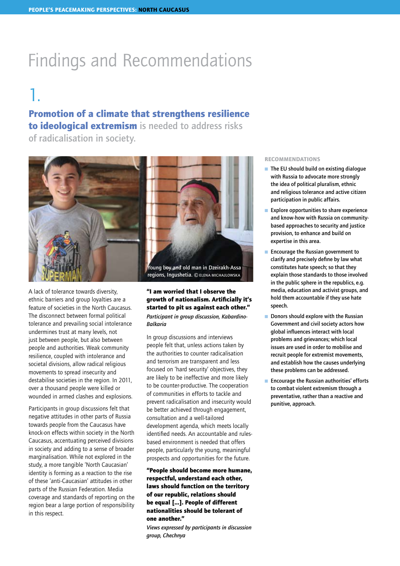## Findings and Recommendations

## 1.

## Promotion of a climate that strengthens resilience

to ideological extremism is needed to address risks of radicalisation in society.



A lack of tolerance towards diversity, ethnic barriers and group loyalties are a feature of societies in the North Caucasus. The disconnect between formal political tolerance and prevailing social intolerance undermines trust at many levels, not just between people, but also between people and authorities. Weak community resilience, coupled with intolerance and societal divisions, allow radical religious movements to spread insecurity and destabilise societies in the region. In 2011, over a thousand people were killed or wounded in armed clashes and explosions.

Participants in group discussions felt that negative attitudes in other parts of Russia towards people from the Caucasus have knock-on effects within society in the North Caucasus, accentuating perceived divisions in society and adding to a sense of broader marginalisation. While not explored in the study, a more tangible 'North Caucasian' identity is forming as a reaction to the rise of these 'anti-Caucasian' attitudes in other parts of the Russian Federation. Media coverage and standards of reporting on the region bear a large portion of responsibility in this respect.



regions, Ingushetia. © ЕLENA MICHAJLOWSKA

"I am worried that I observe the growth of nationalism. Artificially it's started to pit us against each other." *Participant in group discussion, Kabardino-Balkaria* 

In group discussions and interviews people felt that, unless actions taken by the authorities to counter radicalisation and terrorism are transparent and less focused on 'hard security' objectives, they are likely to be ineffective and more likely to be counter-productive. The cooperation of communities in efforts to tackle and prevent radicalisation and insecurity would be better achieved through engagement. consultation and a well-tailored development agenda, which meets locally identified needs. An accountable and rulesbased environment is needed that offers people, particularly the young, meaningful prospects and opportunities for the future.

"People should become more humane, respectful, understand each other, laws should function on the territory of our republic, relations should be equal [...]. People of different nationalities should be tolerant of one another."

*Views expressed by participants in discussion group, Chechnya* 

#### Recommendations

- $\blacksquare$  The EU should build on existing dialogue with Russia to advocate more strongly the idea of political pluralism, ethnic and religious tolerance and active citizen participation in public affairs.
- $\blacksquare$  Explore opportunities to share experience and know-how with Russia on communitybased approaches to security and justice provision, to enhance and build on expertise in this area.
- $\blacksquare$  Encourage the Russian government to clarify and precisely define by law what constitutes hate speech; so that they explain those standards to those involved in the public sphere in the republics, e.g. media, education and activist groups, and hold them accountable if they use hate speech.
- $\blacksquare$  Donors should explore with the Russian Government and civil society actors how global influences interact with local problems and grievances; which local issues are used in order to mobilise and recruit people for extremist movements, and establish how the causes underlying these problems can be addressed.
- Encourage the Russian authorities' efforts to combat violent extremism through a preventative, rather than a reactive and punitive, approach.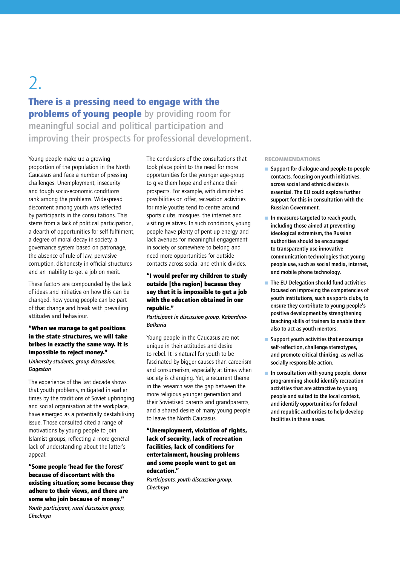## 2.

## There is a pressing need to engage with the problems of young people by providing room for meaningful social and political participation and improving their prospects for professional development.

Young people make up a growing proportion of the population in the North Caucasus and face a number of pressing challenges. Unemployment, insecurity and tough socio-economic conditions rank among the problems. Widespread discontent among youth was reflected by participants in the consultations. This stems from a lack of political participation, a dearth of opportunities for self-fulfilment, a degree of moral decay in society, a governance system based on patronage, the absence of rule of law, pervasive corruption, dishonesty in official structures and an inability to get a job on merit.

These factors are compounded by the lack of ideas and initiative on how this can be changed, how young people can be part of that change and break with prevailing attitudes and behaviour.

### "When we manage to get positions in the state structures, we will take bribes in exactly the same way. It is impossible to reject money." *University students, group discussion, Dagestan*

The experience of the last decade shows that youth problems, mitigated in earlier times by the traditions of Soviet upbringing and social organisation at the workplace, have emerged as a potentially destabilising issue. Those consulted cited a range of motivations by young people to join Islamist groups, reflecting a more general lack of understanding about the latter's appeal:

"Some people 'head for the forest' because of discontent with the existing situation; some because they adhere to their views, and there are some who join because of money." *Youth participant, rural discussion group, Chechnya* 

The conclusions of the consultations that took place point to the need for more opportunities for the younger age-group to give them hope and enhance their prospects. For example, with diminished possibilities on offer, recreation activities for male youths tend to centre around sports clubs, mosques, the internet and visiting relatives. In such conditions, young people have plenty of pent-up energy and lack avenues for meaningful engagement in society or somewhere to belong and need more opportunities for outside contacts across social and ethnic divides.

## "I would prefer my children to study outside [the region] because they say that it is impossible to get a job with the education obtained in our republic."

*Participant in discussion group, Kabardino-Balkaria*

Young people in the Caucasus are not unique in their attitudes and desire to rebel. It is natural for youth to be fascinated by bigger causes than careerism and consumerism, especially at times when society is changing. Yet, a recurrent theme in the research was the gap between the more religious younger generation and their Sovietised parents and grandparents, and a shared desire of many young people to leave the North Caucasus.

### "Unemployment, violation of rights, lack of security, lack of recreation facilities, lack of conditions for entertainment, housing problems and some people want to get an education."

*Participants, youth discussion group, Chechnya*

#### Recommendations

- Support for dialogue and people-to-people contacts, focusing on youth initiatives, across social and ethnic divides is essential. The EU could explore further support for this in consultation with the Russian Government.
- n In measures targeted to reach youth, including those aimed at preventing ideological extremism, the Russian authorities should be encouraged to transparently use innovative communication technologies that young people use, such as social media, internet, and mobile phone technology.
- The EU Delegation should fund activities focused on improving the competencies of youth institutions, such as sports clubs, to ensure they contribute to young people's positive development by strengthening teaching skills of trainers to enable them also to act as youth mentors.
- Support youth activities that encourage self-reflection, challenge stereotypes, and promote critical thinking, as well as socially responsible action.
- $\blacksquare$  In consultation with young people, donor programming should identify recreation activities that are attractive to young people and suited to the local context, and identify opportunities for federal and republic authorities to help develop facilities in these areas.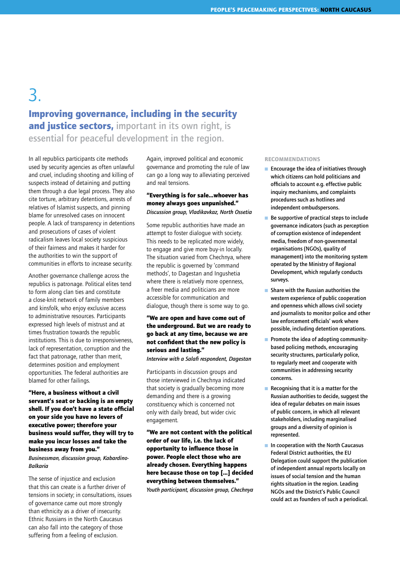## 3. Improving governance, including in the security and justice sectors, important in its own right, is essential for peaceful development in the region.

In all republics participants cite methods used by security agencies as often unlawful and cruel, including shooting and killing of suspects instead of detaining and putting them through a due legal process. They also cite torture, arbitrary detentions, arrests of relatives of Islamist suspects, and pinning blame for unresolved cases on innocent people. A lack of transparency in detentions and prosecutions of cases of violent radicalism leaves local society suspicious of their fairness and makes it harder for the authorities to win the support of communities in efforts to increase security.

Another governance challenge across the republics is patronage. Political elites tend to form along clan ties and constitute a close-knit network of family members and kinsfolk, who enjoy exclusive access to administrative resources. Participants expressed high levels of mistrust and at times frustration towards the republic institutions. This is due to irresponsiveness, lack of representation, corruption and the fact that patronage, rather than merit, determines position and employment opportunities. The federal authorities are blamed for other failings.

"Here, a business without a civil servant's seat or backing is an empty shell. If you don't have a state official on your side you have no levers of executive power; therefore your business would suffer, they will try to make you incur losses and take the business away from you."

*Businessman, discussion group, Kabardino-Balkaria* 

The sense of injustice and exclusion that this can create is a further driver of tensions in society; in consultations, issues of governance came out more strongly than ethnicity as a driver of insecurity. Ethnic Russians in the North Caucasus can also fall into the category of those suffering from a feeling of exclusion.

Again, improved political and economic governance and promoting the rule of law can go a long way to alleviating perceived and real tensions.

#### "Everything is for sale...whoever has money always goes unpunished." *Discussion group, Vladikavkaz, North Ossetia*

Some republic authorities have made an attempt to foster dialogue with society. This needs to be replicated more widely, to engage and give more buy-in locally. The situation varied from Chechnya, where the republic is governed by 'command methods', to Dagestan and Ingushetia where there is relatively more openness, a freer media and politicians are more accessible for communication and dialogue, though there is some way to go.

## "We are open and have come out of the underground. But we are ready to go back at any time, because we are not confident that the new policy is serious and lasting."

*Interview with a Salafi respondent, Dagestan* 

Participants in discussion groups and those interviewed in Chechnya indicated that society is gradually becoming more demanding and there is a growing constituency which is concerned not only with daily bread, but wider civic engagement.

"We are not content with the political order of our life, i.e. the lack of opportunity to influence those in power. People elect those who are already chosen. Everything happens here because those on top [...] decided everything between themselves."

*Youth participant, discussion group, Chechnya*

#### Recommendations

- $\blacksquare$  Encourage the idea of initiatives through which citizens can hold politicians and officials to account e.g. effective public inquiry mechanisms, and complaints procedures such as hotlines and independent ombudspersons.
- $\blacksquare$  Be supportive of practical steps to include governance indicators (such as perception of corruption existence of independent media, freedom of non-governmental organisations (NGOs), quality of management) into the monitoring system operated by the Ministry of Regional Development, which regularly conducts surveys.
- $\blacksquare$  Share with the Russian authorities the western experience of public cooperation and openness which allows civil society and journalists to monitor police and other law enforcement officials' work where possible, including detention operations.
- Promote the idea of adopting communitybased policing methods, encouraging security structures, particularly police, to regularly meet and cooperate with communities in addressing security concerns.
- Recognising that it is a matter for the Russian authorities to decide, suggest the idea of regular debates on main issues of public concern, in which all relevant stakeholders, including marginalised groups and a diversity of opinion is represented.
- $\blacksquare$  In cooperation with the North Caucasus Federal District authorities, the EU Delegation could support the publication of independent annual reports locally on issues of social tension and the human rights situation in the region. Leading NGOs and the District's Public Council could act as founders of such a periodical.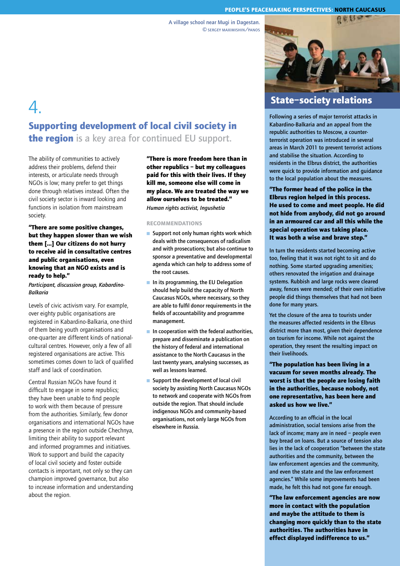#### People's Peacemaking Perspectives: north caucasus

A village school near Mugi in Dagestan. ©sergey maximishin/panos

## 4. Supporting development of local civil society in

**the region** is a key area for continued EU support.

The ability of communities to actively address their problems, defend their interests, or articulate needs through NGOs is low; many prefer to get things done through relatives instead. Often the civil society sector is inward looking and functions in isolation from mainstream society.

### "There are some positive changes, but they happen slower than we wish them [...] Our citizens do not hurry to receive aid in consultative centres and public organisations, even knowing that an NGO exists and is ready to help."

*Participant, discussion group, Kabardino-Balkaria*

Levels of civic activism vary. For example, over eighty public organisations are registered in Kabardino-Balkaria, one-third of them being youth organisations and one-quarter are different kinds of nationalcultural centres. However, only a few of all registered organisations are active. This sometimes comes down to lack of qualified staff and lack of coordination.

Central Russian NGOs have found it difficult to engage in some republics; they have been unable to find people to work with them because of pressure from the authorities. Similarly, few donor organisations and international NGOs have a presence in the region outside Chechnya, limiting their ability to support relevant and informed programmes and initiatives. Work to support and build the capacity of local civil society and foster outside contacts is important, not only so they can champion improved governance, but also to increase information and understanding about the region.

"There is more freedom here than in other republics – but my colleagues paid for this with their lives. If they kill me, someone else will come in my place. We are treated the way we allow ourselves to be treated." *Human rights activist, Ingushetia* 

#### Recommendations

- $\blacksquare$  Support not only human rights work which deals with the consequences of radicalism and with prosecutions; but also continue to sponsor a preventative and developmental agenda which can help to address some of the root causes.
- $\blacksquare$  In its programming, the EU Delegation should help build the capacity of North Caucasus NGOs, where necessary, so they are able to fulfil donor requirements in the fields of accountability and programme management.
- $\blacksquare$  In cooperation with the federal authorities, prepare and disseminate a publication on the history of federal and international assistance to the North Caucasus in the last twenty years, analysing successes, as well as lessons learned.
- $\blacksquare$  Support the development of local civil society by assisting North Caucasus NGOs to network and cooperate with NGOs from outside the region. That should include indigenous NGOs and community-based organisations, not only large NGOs from elsewhere in Russia.



## State–society relations

Following a series of major terrorist attacks in Kabardino-Balkaria and an appeal from the republic authorities to Moscow, a counterterrorist operation was introduced in several areas in March 2011 to prevent terrorist actions and stabilise the situation. According to residents in the Elbrus district, the authorities were quick to provide information and guidance to the local population about the measures.

"The former head of the police in the Elbrus region helped in this process. He used to come and meet people. He did not hide from anybody, did not go around in an armoured car and all this while the special operation was taking place. It was both a wise and brave step."

In turn the residents started becoming active too, feeling that it was not right to sit and do nothing. Some started upgrading amenities; others renovated the irrigation and drainage systems. Rubbish and large rocks were cleared away, fences were mended; of their own initiative people did things themselves that had not been done for many years.

Yet the closure of the area to tourists under the measures affected residents in the Elbrus district more than most, given their dependence on tourism for income. While not against the operation, they resent the resulting impact on their livelihoods.

"The population has been living in a vacuum for seven months already. The worst is that the people are losing faith in the authorities, because nobody, not one representative, has been here and asked us how we live."

According to an official in the local administration, social tensions arise from the lack of income; many are in need – people even buy bread on loans. But a source of tension also lies in the lack of cooperation "between the state authorities and the community, between the law enforcement agencies and the community, and even the state and the law enforcement agencies." While some improvements had been made, he felt this had not gone far enough.

"The law enforcement agencies are now more in contact with the population and maybe the attitude to them is changing more quickly than to the state authorities. The authorities have in effect displayed indifference to us."